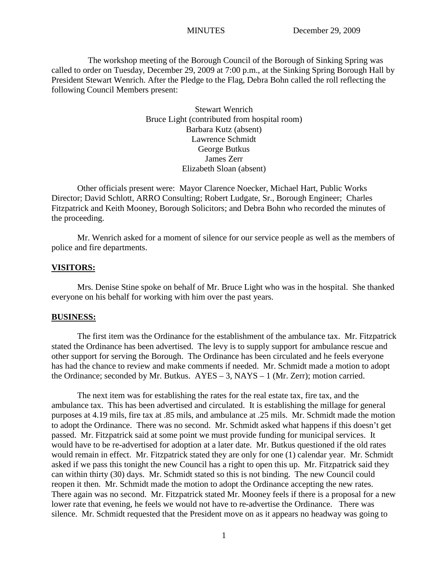The workshop meeting of the Borough Council of the Borough of Sinking Spring was called to order on Tuesday, December 29, 2009 at 7:00 p.m., at the Sinking Spring Borough Hall by President Stewart Wenrich. After the Pledge to the Flag, Debra Bohn called the roll reflecting the following Council Members present:

> Stewart Wenrich Bruce Light (contributed from hospital room) Barbara Kutz (absent) Lawrence Schmidt George Butkus James Zerr Elizabeth Sloan (absent)

Other officials present were: Mayor Clarence Noecker, Michael Hart, Public Works Director; David Schlott, ARRO Consulting; Robert Ludgate, Sr., Borough Engineer; Charles Fitzpatrick and Keith Mooney, Borough Solicitors; and Debra Bohn who recorded the minutes of the proceeding.

Mr. Wenrich asked for a moment of silence for our service people as well as the members of police and fire departments.

### **VISITORS:**

Mrs. Denise Stine spoke on behalf of Mr. Bruce Light who was in the hospital. She thanked everyone on his behalf for working with him over the past years.

#### **BUSINESS:**

The first item was the Ordinance for the establishment of the ambulance tax. Mr. Fitzpatrick stated the Ordinance has been advertised. The levy is to supply support for ambulance rescue and other support for serving the Borough. The Ordinance has been circulated and he feels everyone has had the chance to review and make comments if needed. Mr. Schmidt made a motion to adopt the Ordinance; seconded by Mr. Butkus. AYES – 3, NAYS – 1 (Mr. Zerr); motion carried.

The next item was for establishing the rates for the real estate tax, fire tax, and the ambulance tax. This has been advertised and circulated. It is establishing the millage for general purposes at 4.19 mils, fire tax at .85 mils, and ambulance at .25 mils. Mr. Schmidt made the motion to adopt the Ordinance. There was no second. Mr. Schmidt asked what happens if this doesn't get passed. Mr. Fitzpatrick said at some point we must provide funding for municipal services. It would have to be re-advertised for adoption at a later date. Mr. Butkus questioned if the old rates would remain in effect. Mr. Fitzpatrick stated they are only for one (1) calendar year. Mr. Schmidt asked if we pass this tonight the new Council has a right to open this up. Mr. Fitzpatrick said they can within thirty (30) days. Mr. Schmidt stated so this is not binding. The new Council could reopen it then. Mr. Schmidt made the motion to adopt the Ordinance accepting the new rates. There again was no second. Mr. Fitzpatrick stated Mr. Mooney feels if there is a proposal for a new lower rate that evening, he feels we would not have to re-advertise the Ordinance. There was silence. Mr. Schmidt requested that the President move on as it appears no headway was going to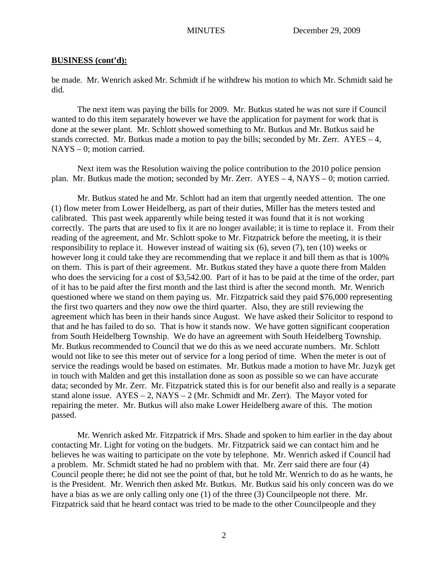be made. Mr. Wenrich asked Mr. Schmidt if he withdrew his motion to which Mr. Schmidt said he did.

The next item was paying the bills for 2009. Mr. Butkus stated he was not sure if Council wanted to do this item separately however we have the application for payment for work that is done at the sewer plant. Mr. Schlott showed something to Mr. Butkus and Mr. Butkus said he stands corrected. Mr. Butkus made a motion to pay the bills; seconded by Mr. Zerr.  $AYES - 4$ . NAYS – 0; motion carried.

Next item was the Resolution waiving the police contribution to the 2010 police pension plan. Mr. Butkus made the motion; seconded by Mr. Zerr. AYES – 4, NAYS – 0; motion carried.

Mr. Butkus stated he and Mr. Schlott had an item that urgently needed attention. The one (1) flow meter from Lower Heidelberg, as part of their duties, Miller has the meters tested and calibrated. This past week apparently while being tested it was found that it is not working correctly. The parts that are used to fix it are no longer available; it is time to replace it. From their reading of the agreement, and Mr. Schlott spoke to Mr. Fitzpatrick before the meeting, it is their responsibility to replace it. However instead of waiting six (6), seven (7), ten (10) weeks or however long it could take they are recommending that we replace it and bill them as that is 100% on them. This is part of their agreement. Mr. Butkus stated they have a quote there from Malden who does the servicing for a cost of \$3,542.00. Part of it has to be paid at the time of the order, part of it has to be paid after the first month and the last third is after the second month. Mr. Wenrich questioned where we stand on them paying us. Mr. Fitzpatrick said they paid \$76,000 representing the first two quarters and they now owe the third quarter. Also, they are still reviewing the agreement which has been in their hands since August. We have asked their Solicitor to respond to that and he has failed to do so. That is how it stands now. We have gotten significant cooperation from South Heidelberg Township. We do have an agreement with South Heidelberg Township. Mr. Butkus recommended to Council that we do this as we need accurate numbers. Mr. Schlott would not like to see this meter out of service for a long period of time. When the meter is out of service the readings would be based on estimates. Mr. Butkus made a motion to have Mr. Juzyk get in touch with Malden and get this installation done as soon as possible so we can have accurate data; seconded by Mr. Zerr. Mr. Fitzpatrick stated this is for our benefit also and really is a separate stand alone issue.  $AYES - 2$ ,  $NAYS - 2$  (Mr. Schmidt and Mr. Zerr). The Mayor voted for repairing the meter. Mr. Butkus will also make Lower Heidelberg aware of this. The motion passed.

Mr. Wenrich asked Mr. Fitzpatrick if Mrs. Shade and spoken to him earlier in the day about contacting Mr. Light for voting on the budgets. Mr. Fitzpatrick said we can contact him and he believes he was waiting to participate on the vote by telephone. Mr. Wenrich asked if Council had a problem. Mr. Schmidt stated he had no problem with that. Mr. Zerr said there are four (4) Council people there; he did not see the point of that, but he told Mr. Wenrich to do as he wants, he is the President. Mr. Wenrich then asked Mr. Butkus. Mr. Butkus said his only concern was do we have a bias as we are only calling only one (1) of the three (3) Councilpeople not there. Mr. Fitzpatrick said that he heard contact was tried to be made to the other Councilpeople and they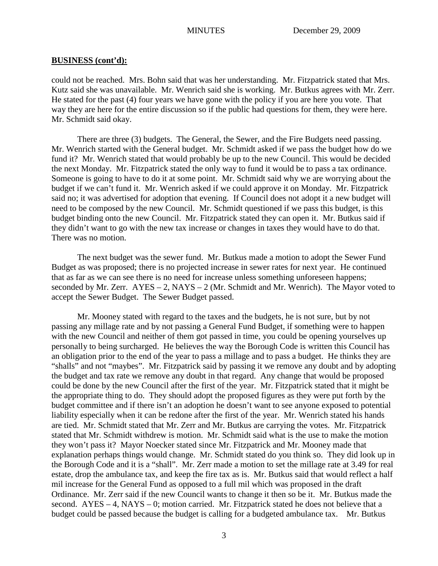could not be reached. Mrs. Bohn said that was her understanding. Mr. Fitzpatrick stated that Mrs. Kutz said she was unavailable. Mr. Wenrich said she is working. Mr. Butkus agrees with Mr. Zerr. He stated for the past (4) four years we have gone with the policy if you are here you vote. That way they are here for the entire discussion so if the public had questions for them, they were here. Mr. Schmidt said okay.

There are three (3) budgets. The General, the Sewer, and the Fire Budgets need passing. Mr. Wenrich started with the General budget. Mr. Schmidt asked if we pass the budget how do we fund it? Mr. Wenrich stated that would probably be up to the new Council. This would be decided the next Monday. Mr. Fitzpatrick stated the only way to fund it would be to pass a tax ordinance. Someone is going to have to do it at some point. Mr. Schmidt said why we are worrying about the budget if we can't fund it. Mr. Wenrich asked if we could approve it on Monday. Mr. Fitzpatrick said no; it was advertised for adoption that evening. If Council does not adopt it a new budget will need to be composed by the new Council. Mr. Schmidt questioned if we pass this budget, is this budget binding onto the new Council. Mr. Fitzpatrick stated they can open it. Mr. Butkus said if they didn't want to go with the new tax increase or changes in taxes they would have to do that. There was no motion.

The next budget was the sewer fund. Mr. Butkus made a motion to adopt the Sewer Fund Budget as was proposed; there is no projected increase in sewer rates for next year. He continued that as far as we can see there is no need for increase unless something unforeseen happens; seconded by Mr. Zerr.  $AYES - 2$ ,  $NAYS - 2$  (Mr. Schmidt and Mr. Wenrich). The Mayor voted to accept the Sewer Budget. The Sewer Budget passed.

Mr. Mooney stated with regard to the taxes and the budgets, he is not sure, but by not passing any millage rate and by not passing a General Fund Budget, if something were to happen with the new Council and neither of them got passed in time, you could be opening yourselves up personally to being surcharged. He believes the way the Borough Code is written this Council has an obligation prior to the end of the year to pass a millage and to pass a budget. He thinks they are "shalls" and not "maybes". Mr. Fitzpatrick said by passing it we remove any doubt and by adopting the budget and tax rate we remove any doubt in that regard. Any change that would be proposed could be done by the new Council after the first of the year. Mr. Fitzpatrick stated that it might be the appropriate thing to do. They should adopt the proposed figures as they were put forth by the budget committee and if there isn't an adoption he doesn't want to see anyone exposed to potential liability especially when it can be redone after the first of the year. Mr. Wenrich stated his hands are tied. Mr. Schmidt stated that Mr. Zerr and Mr. Butkus are carrying the votes. Mr. Fitzpatrick stated that Mr. Schmidt withdrew is motion. Mr. Schmidt said what is the use to make the motion they won't pass it? Mayor Noecker stated since Mr. Fitzpatrick and Mr. Mooney made that explanation perhaps things would change. Mr. Schmidt stated do you think so. They did look up in the Borough Code and it is a "shall". Mr. Zerr made a motion to set the millage rate at 3.49 for real estate, drop the ambulance tax, and keep the fire tax as is. Mr. Butkus said that would reflect a half mil increase for the General Fund as opposed to a full mil which was proposed in the draft Ordinance. Mr. Zerr said if the new Council wants to change it then so be it. Mr. Butkus made the second.  $AYES - 4$ ,  $NAYS - 0$ ; motion carried. Mr. Fitzpatrick stated he does not believe that a budget could be passed because the budget is calling for a budgeted ambulance tax. Mr. Butkus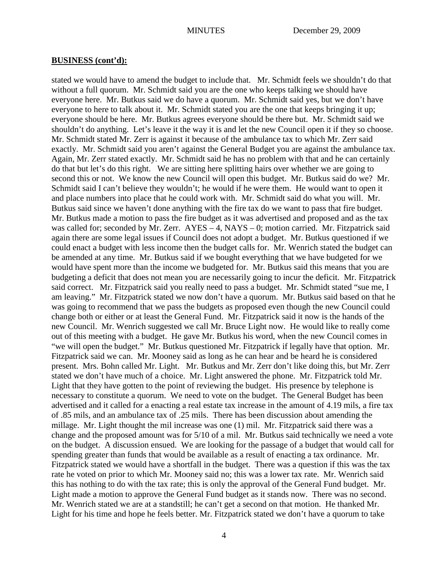stated we would have to amend the budget to include that. Mr. Schmidt feels we shouldn't do that without a full quorum. Mr. Schmidt said you are the one who keeps talking we should have everyone here. Mr. Butkus said we do have a quorum. Mr. Schmidt said yes, but we don't have everyone to here to talk about it. Mr. Schmidt stated you are the one that keeps bringing it up; everyone should be here. Mr. Butkus agrees everyone should be there but. Mr. Schmidt said we shouldn't do anything. Let's leave it the way it is and let the new Council open it if they so choose. Mr. Schmidt stated Mr. Zerr is against it because of the ambulance tax to which Mr. Zerr said exactly. Mr. Schmidt said you aren't against the General Budget you are against the ambulance tax. Again, Mr. Zerr stated exactly. Mr. Schmidt said he has no problem with that and he can certainly do that but let's do this right. We are sitting here splitting hairs over whether we are going to second this or not. We know the new Council will open this budget. Mr. Butkus said do we? Mr. Schmidt said I can't believe they wouldn't; he would if he were them. He would want to open it and place numbers into place that he could work with. Mr. Schmidt said do what you will. Mr. Butkus said since we haven't done anything with the fire tax do we want to pass that fire budget. Mr. Butkus made a motion to pass the fire budget as it was advertised and proposed and as the tax was called for; seconded by Mr. Zerr. AYES – 4, NAYS – 0; motion carried. Mr. Fitzpatrick said again there are some legal issues if Council does not adopt a budget. Mr. Butkus questioned if we could enact a budget with less income then the budget calls for. Mr. Wenrich stated the budget can be amended at any time. Mr. Butkus said if we bought everything that we have budgeted for we would have spent more than the income we budgeted for. Mr. Butkus said this means that you are budgeting a deficit that does not mean you are necessarily going to incur the deficit. Mr. Fitzpatrick said correct. Mr. Fitzpatrick said you really need to pass a budget. Mr. Schmidt stated "sue me, I am leaving." Mr. Fitzpatrick stated we now don't have a quorum. Mr. Butkus said based on that he was going to recommend that we pass the budgets as proposed even though the new Council could change both or either or at least the General Fund. Mr. Fitzpatrick said it now is the hands of the new Council. Mr. Wenrich suggested we call Mr. Bruce Light now. He would like to really come out of this meeting with a budget. He gave Mr. Butkus his word, when the new Council comes in "we will open the budget." Mr. Butkus questioned Mr. Fitzpatrick if legally have that option. Mr. Fitzpatrick said we can. Mr. Mooney said as long as he can hear and be heard he is considered present. Mrs. Bohn called Mr. Light. Mr. Butkus and Mr. Zerr don't like doing this, but Mr. Zerr stated we don't have much of a choice. Mr. Light answered the phone. Mr. Fitzpatrick told Mr. Light that they have gotten to the point of reviewing the budget. His presence by telephone is necessary to constitute a quorum. We need to vote on the budget. The General Budget has been advertised and it called for a enacting a real estate tax increase in the amount of 4.19 mils, a fire tax of .85 mils, and an ambulance tax of .25 mils. There has been discussion about amending the millage. Mr. Light thought the mil increase was one (1) mil. Mr. Fitzpatrick said there was a change and the proposed amount was for 5/10 of a mil. Mr. Butkus said technically we need a vote on the budget. A discussion ensued. We are looking for the passage of a budget that would call for spending greater than funds that would be available as a result of enacting a tax ordinance. Mr. Fitzpatrick stated we would have a shortfall in the budget. There was a question if this was the tax rate he voted on prior to which Mr. Mooney said no; this was a lower tax rate. Mr. Wenrich said this has nothing to do with the tax rate; this is only the approval of the General Fund budget. Mr. Light made a motion to approve the General Fund budget as it stands now. There was no second. Mr. Wenrich stated we are at a standstill; he can't get a second on that motion. He thanked Mr. Light for his time and hope he feels better. Mr. Fitzpatrick stated we don't have a quorum to take